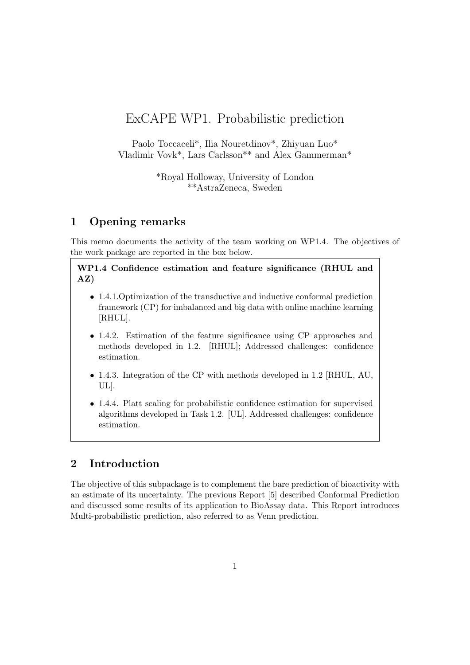# ExCAPE WP1. Probabilistic prediction

Paolo Toccaceli\*, Ilia Nouretdinov\*, Zhiyuan Luo\* Vladimir Vovk\*, Lars Carlsson\*\* and Alex Gammerman\*

> \*Royal Holloway, University of London \*\*AstraZeneca, Sweden

# 1 Opening remarks

This memo documents the activity of the team working on WP1.4. The objectives of the work package are reported in the box below.

WP1.4 Confidence estimation and feature significance (RHUL and AZ)

- 1.4.1.Optimization of the transductive and inductive conformal prediction framework (CP) for imbalanced and big data with online machine learning [RHUL].
- 1.4.2. Estimation of the feature significance using CP approaches and methods developed in 1.2. [RHUL]; Addressed challenges: confidence estimation.
- 1.4.3. Integration of the CP with methods developed in 1.2 [RHUL, AU, UL].
- 1.4.4. Platt scaling for probabilistic confidence estimation for supervised algorithms developed in Task 1.2. [UL]. Addressed challenges: confidence estimation.

# 2 Introduction

The objective of this subpackage is to complement the bare prediction of bioactivity with an estimate of its uncertainty. The previous Report [5] described Conformal Prediction and discussed some results of its application to BioAssay data. This Report introduces Multi-probabilistic prediction, also referred to as Venn prediction.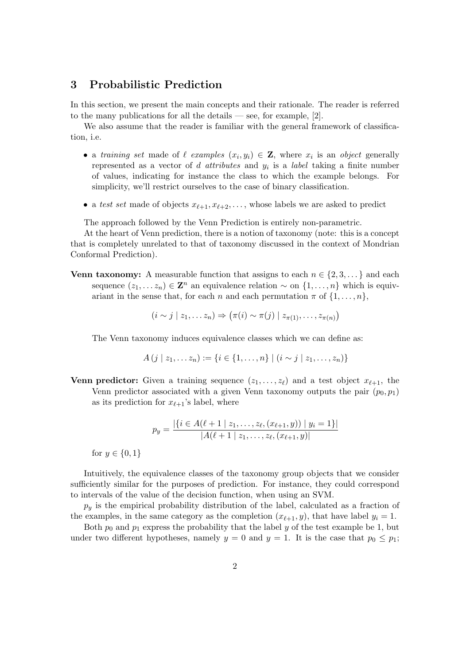## 3 Probabilistic Prediction

In this section, we present the main concepts and their rationale. The reader is referred to the many publications for all the details — see, for example,  $[2]$ .

We also assume that the reader is familiar with the general framework of classification, i.e.

- a training set made of  $\ell$  examples  $(x_i, y_i) \in \mathbf{Z}$ , where  $x_i$  is an object generally represented as a vector of *d* attributes and  $y_i$  is a *label* taking a finite number of values, indicating for instance the class to which the example belongs. For simplicity, we'll restrict ourselves to the case of binary classification.
- a test set made of objects  $x_{\ell+1}, x_{\ell+2}, \ldots$ , whose labels we are asked to predict

The approach followed by the Venn Prediction is entirely non-parametric.

At the heart of Venn prediction, there is a notion of taxonomy (note: this is a concept that is completely unrelated to that of taxonomy discussed in the context of Mondrian Conformal Prediction).

**Venn taxonomy:** A measurable function that assigns to each  $n \in \{2, 3, \ldots\}$  and each sequence  $(z_1, \ldots z_n) \in \mathbf{Z}^n$  an equivalence relation  $\sim$  on  $\{1, \ldots, n\}$  which is equivariant in the sense that, for each n and each permutation  $\pi$  of  $\{1, \ldots, n\}$ ,

 $(i \sim j \mid z_1, \ldots z_n) \Rightarrow (\pi(i) \sim \pi(j) \mid z_{\pi(1)}, \ldots, z_{\pi(n)})$ 

The Venn taxonomy induces equivalence classes which we can define as:

$$
A (j | z_1,... z_n) := \{i \in \{1,...,n\} \mid (i \sim j | z_1,..., z_n)\}
$$

**Venn predictor:** Given a training sequence  $(z_1, \ldots, z_\ell)$  and a test object  $x_{\ell+1}$ , the Venn predictor associated with a given Venn taxonomy outputs the pair  $(p_0, p_1)$ as its prediction for  $x_{\ell+1}$ 's label, where

$$
p_y = \frac{|\{i \in A(\ell+1 \mid z_1,\ldots,z_\ell,(x_{\ell+1},y)) \mid y_i=1\}|}{|A(\ell+1 \mid z_1,\ldots,z_\ell,(x_{\ell+1},y))|}
$$

for  $y \in \{0, 1\}$ 

Intuitively, the equivalence classes of the taxonomy group objects that we consider sufficiently similar for the purposes of prediction. For instance, they could correspond to intervals of the value of the decision function, when using an SVM.

 $p_y$  is the empirical probability distribution of the label, calculated as a fraction of the examples, in the same category as the completion  $(x_{\ell+1}, y)$ , that have label  $y_i = 1$ .

Both  $p_0$  and  $p_1$  express the probability that the label y of the test example be 1, but under two different hypotheses, namely  $y = 0$  and  $y = 1$ . It is the case that  $p_0 \leq p_1$ ;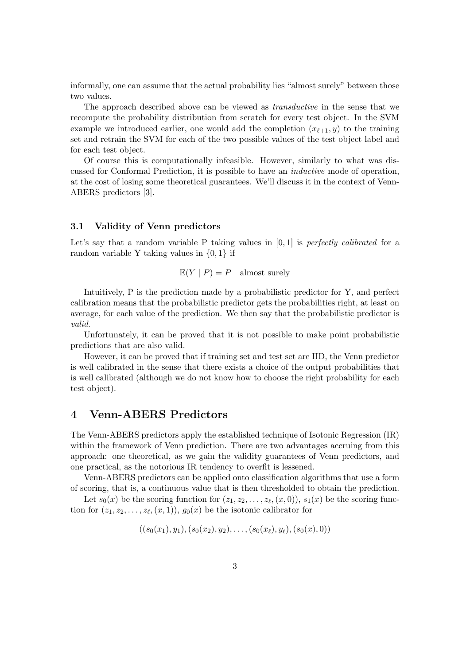informally, one can assume that the actual probability lies "almost surely" between those two values.

The approach described above can be viewed as transductive in the sense that we recompute the probability distribution from scratch for every test object. In the SVM example we introduced earlier, one would add the completion  $(x_{\ell+1}, y)$  to the training set and retrain the SVM for each of the two possible values of the test object label and for each test object.

Of course this is computationally infeasible. However, similarly to what was discussed for Conformal Prediction, it is possible to have an inductive mode of operation, at the cost of losing some theoretical guarantees. We'll discuss it in the context of Venn-ABERS predictors [3].

#### 3.1 Validity of Venn predictors

Let's say that a random variable P taking values in  $[0, 1]$  is perfectly calibrated for a random variable Y taking values in  $\{0, 1\}$  if

$$
\mathbb{E}(Y \mid P) = P \quad \text{almost surely}
$$

Intuitively, P is the prediction made by a probabilistic predictor for Y, and perfect calibration means that the probabilistic predictor gets the probabilities right, at least on average, for each value of the prediction. We then say that the probabilistic predictor is valid.

Unfortunately, it can be proved that it is not possible to make point probabilistic predictions that are also valid.

However, it can be proved that if training set and test set are IID, the Venn predictor is well calibrated in the sense that there exists a choice of the output probabilities that is well calibrated (although we do not know how to choose the right probability for each test object).

### 4 Venn-ABERS Predictors

The Venn-ABERS predictors apply the established technique of Isotonic Regression (IR) within the framework of Venn prediction. There are two advantages accruing from this approach: one theoretical, as we gain the validity guarantees of Venn predictors, and one practical, as the notorious IR tendency to overfit is lessened.

Venn-ABERS predictors can be applied onto classification algorithms that use a form of scoring, that is, a continuous value that is then thresholded to obtain the prediction.

Let  $s_0(x)$  be the scoring function for  $(z_1, z_2, \ldots, z_{\ell}, (x, 0)), s_1(x)$  be the scoring function for  $(z_1, z_2, \ldots, z_\ell, (x, 1)), g_0(x)$  be the isotonic calibrator for

$$
((s_0(x_1),y_1), (s_0(x_2),y_2), \ldots, (s_0(x_\ell),y_\ell), (s_0(x),0))
$$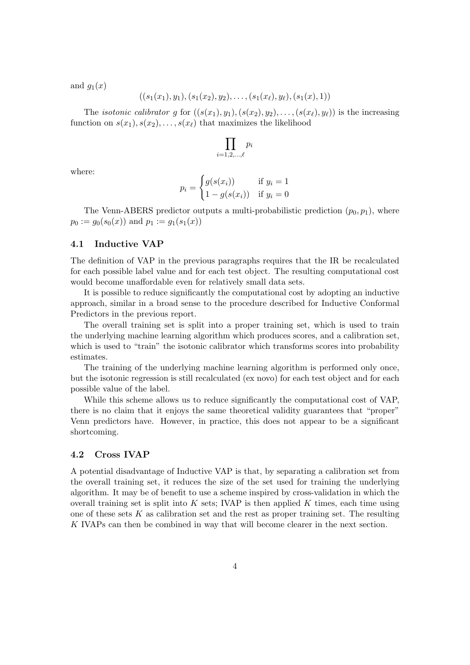and  $g_1(x)$ 

$$
((s_1(x_1),y_1), (s_1(x_2),y_2), \ldots, (s_1(x_\ell),y_\ell), (s_1(x),1))
$$

The *isotonic calibrator* g for  $((s(x_1), y_1), (s(x_2), y_2), \ldots, (s(x_\ell), y_\ell))$  is the increasing function on  $s(x_1), s(x_2), \ldots, s(x_\ell)$  that maximizes the likelihood

$$
\prod_{i=1,2,\ldots,\ell} p_i
$$

where:

$$
p_i = \begin{cases} g(s(x_i)) & \text{if } y_i = 1 \\ 1 - g(s(x_i)) & \text{if } y_i = 0 \end{cases}
$$

The Venn-ABERS predictor outputs a multi-probabilistic prediction  $(p_0, p_1)$ , where  $p_0 := g_0(s_0(x))$  and  $p_1 := g_1(s_1(x))$ 

### 4.1 Inductive VAP

The definition of VAP in the previous paragraphs requires that the IR be recalculated for each possible label value and for each test object. The resulting computational cost would become unaffordable even for relatively small data sets.

It is possible to reduce significantly the computational cost by adopting an inductive approach, similar in a broad sense to the procedure described for Inductive Conformal Predictors in the previous report.

The overall training set is split into a proper training set, which is used to train the underlying machine learning algorithm which produces scores, and a calibration set, which is used to "train" the isotonic calibrator which transforms scores into probability estimates.

The training of the underlying machine learning algorithm is performed only once, but the isotonic regression is still recalculated (ex novo) for each test object and for each possible value of the label.

While this scheme allows us to reduce significantly the computational cost of VAP, there is no claim that it enjoys the same theoretical validity guarantees that "proper" Venn predictors have. However, in practice, this does not appear to be a significant shortcoming.

### 4.2 Cross IVAP

A potential disadvantage of Inductive VAP is that, by separating a calibration set from the overall training set, it reduces the size of the set used for training the underlying algorithm. It may be of benefit to use a scheme inspired by cross-validation in which the overall training set is split into  $K$  sets; IVAP is then applied  $K$  times, each time using one of these sets  $K$  as calibration set and the rest as proper training set. The resulting K IVAPs can then be combined in way that will become clearer in the next section.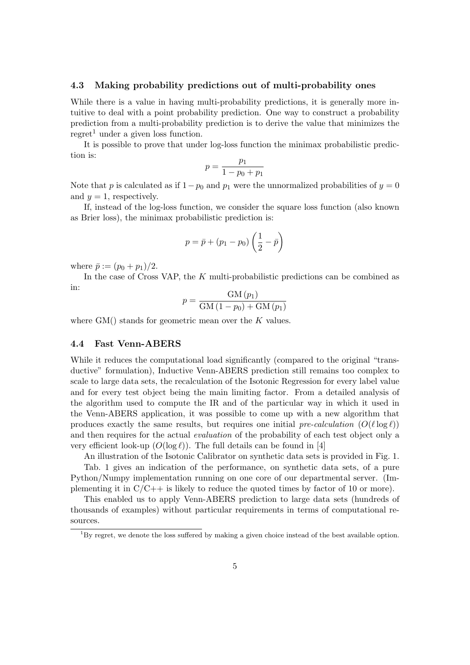#### 4.3 Making probability predictions out of multi-probability ones

While there is a value in having multi-probability predictions, it is generally more intuitive to deal with a point probability prediction. One way to construct a probability prediction from a multi-probability prediction is to derive the value that minimizes the regret<sup>1</sup> under a given loss function.

It is possible to prove that under log-loss function the minimax probabilistic prediction is:

$$
p = \frac{p_1}{1 - p_0 + p_1}
$$

Note that p is calculated as if  $1-p_0$  and  $p_1$  were the unnormalized probabilities of  $y = 0$ and  $y = 1$ , respectively.

If, instead of the log-loss function, we consider the square loss function (also known as Brier loss), the minimax probabilistic prediction is:

$$
p = \bar{p} + (p_1 - p_0) \left( \frac{1}{2} - \bar{p} \right)
$$

where  $\bar{p} := (p_0 + p_1)/2$ .

In the case of Cross VAP, the  $K$  multi-probabilistic predictions can be combined as in:

$$
p = \frac{GM (p_1)}{GM (1 - p_0) + GM (p_1)}
$$

where  $GM()$  stands for geometric mean over the K values.

#### 4.4 Fast Venn-ABERS

While it reduces the computational load significantly (compared to the original "transductive" formulation), Inductive Venn-ABERS prediction still remains too complex to scale to large data sets, the recalculation of the Isotonic Regression for every label value and for every test object being the main limiting factor. From a detailed analysis of the algorithm used to compute the IR and of the particular way in which it used in the Venn-ABERS application, it was possible to come up with a new algorithm that produces exactly the same results, but requires one initial pre-calculation  $(O(\ell \log \ell))$ and then requires for the actual evaluation of the probability of each test object only a very efficient look-up  $(O(\log \ell))$ . The full details can be found in [4]

An illustration of the Isotonic Calibrator on synthetic data sets is provided in Fig. 1. Tab. 1 gives an indication of the performance, on synthetic data sets, of a pure Python/Numpy implementation running on one core of our departmental server. (Implementing it in  $C/C++$  is likely to reduce the quoted times by factor of 10 or more).

This enabled us to apply Venn-ABERS prediction to large data sets (hundreds of thousands of examples) without particular requirements in terms of computational resources.

 $1_{\text{By regret, we denote the loss suffered by making a given choice instead of the best available option.}$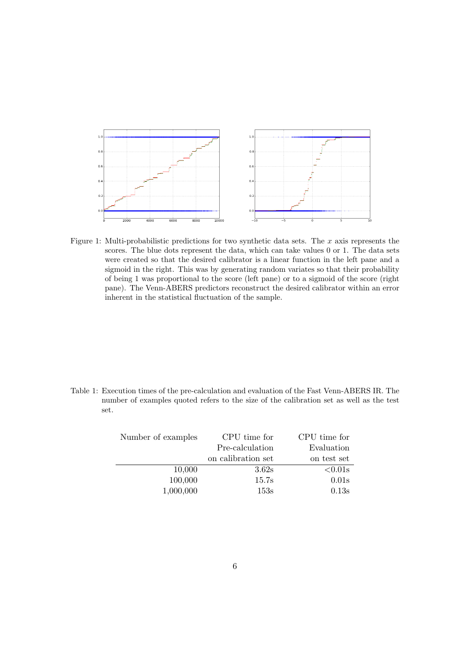

Figure 1: Multi-probabilistic predictions for two synthetic data sets. The  $x$  axis represents the scores. The blue dots represent the data, which can take values 0 or 1. The data sets were created so that the desired calibrator is a linear function in the left pane and a sigmoid in the right. This was by generating random variates so that their probability of being 1 was proportional to the score (left pane) or to a sigmoid of the score (right pane). The Venn-ABERS predictors reconstruct the desired calibrator within an error inherent in the statistical fluctuation of the sample.

Table 1: Execution times of the pre-calculation and evaluation of the Fast Venn-ABERS IR. The number of examples quoted refers to the size of the calibration set as well as the test set.

| Number of examples | CPU time for       | CPU time for |  |
|--------------------|--------------------|--------------|--|
|                    | Pre-calculation    |              |  |
|                    | on calibration set | on test set  |  |
| 10,000             | 3.62s              | $< 0.01$ s   |  |
| 100,000            | 15.7s              | 0.01s        |  |
| 1,000,000          | 153s               | 0.13s        |  |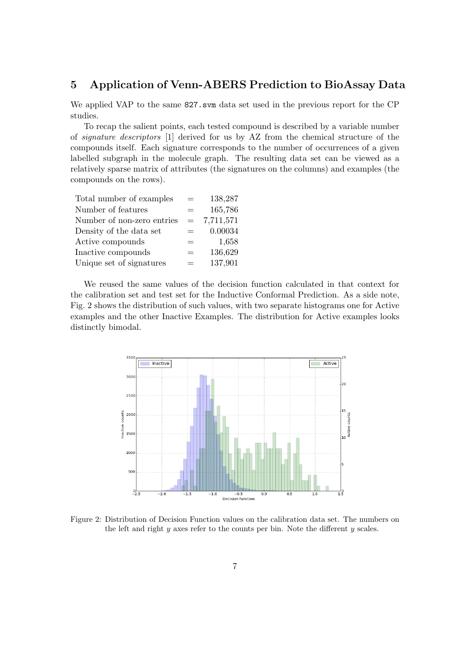## 5 Application of Venn-ABERS Prediction to BioAssay Data

We applied VAP to the same 827.svm data set used in the previous report for the CP studies.

To recap the salient points, each tested compound is described by a variable number of signature descriptors [1] derived for us by AZ from the chemical structure of the compounds itself. Each signature corresponds to the number of occurrences of a given labelled subgraph in the molecule graph. The resulting data set can be viewed as a relatively sparse matrix of attributes (the signatures on the columns) and examples (the compounds on the rows).

| Total number of examples   |     | 138,287   |
|----------------------------|-----|-----------|
| Number of features         |     | 165,786   |
| Number of non-zero entries | $=$ | 7,711,571 |
| Density of the data set    |     | 0.00034   |
| Active compounds           | $=$ | 1,658     |
| Inactive compounds         | $=$ | 136,629   |
| Unique set of signatures   |     | 137,901   |

We reused the same values of the decision function calculated in that context for the calibration set and test set for the Inductive Conformal Prediction. As a side note, Fig. 2 shows the distribution of such values, with two separate histograms one for Active examples and the other Inactive Examples. The distribution for Active examples looks distinctly bimodal.



Figure 2: Distribution of Decision Function values on the calibration data set. The numbers on the left and right  $y$  axes refer to the counts per bin. Note the different  $y$  scales.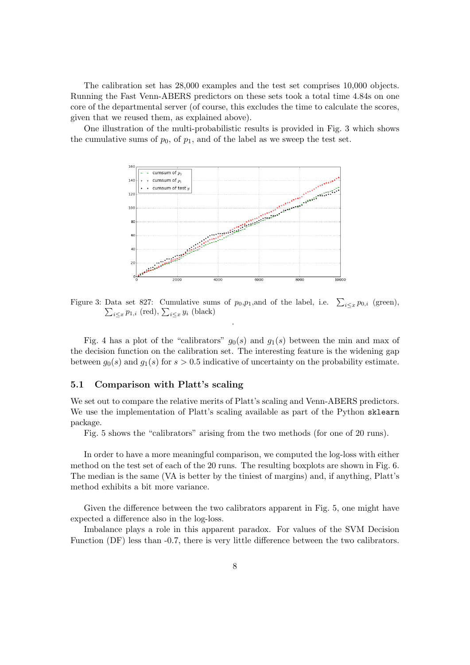The calibration set has 28,000 examples and the test set comprises 10,000 objects. Running the Fast Venn-ABERS predictors on these sets took a total time 4.84s on one core of the departmental server (of course, this excludes the time to calculate the scores, given that we reused them, as explained above).

One illustration of the multi-probabilistic results is provided in Fig. 3 which shows the cumulative sums of  $p_0$ , of  $p_1$ , and of the label as we sweep the test set.



Figure 3: Data set 827: Cumulative sums of  $p_0, p_1$ , and of the label, i.e.  $\sum_{i \leq x} p_{0,i}$  (green), Data set 621. Cumulative sums of  $p_0, p_1$ , and of the faber, i.e.  $\sum_{i \leq x} p_{1,i}$  (red),  $\sum_{i \leq x} y_i$  (black) .

Fig. 4 has a plot of the "calibrators"  $g_0(s)$  and  $g_1(s)$  between the min and max of the decision function on the calibration set. The interesting feature is the widening gap between  $g_0(s)$  and  $g_1(s)$  for  $s > 0.5$  indicative of uncertainty on the probability estimate.

#### 5.1 Comparison with Platt's scaling

We set out to compare the relative merits of Platt's scaling and Venn-ABERS predictors. We use the implementation of Platt's scaling available as part of the Python sklearn package.

Fig. 5 shows the "calibrators" arising from the two methods (for one of 20 runs).

In order to have a more meaningful comparison, we computed the log-loss with either method on the test set of each of the 20 runs. The resulting boxplots are shown in Fig. 6. The median is the same (VA is better by the tiniest of margins) and, if anything, Platt's method exhibits a bit more variance.

Given the difference between the two calibrators apparent in Fig. 5, one might have expected a difference also in the log-loss.

Imbalance plays a role in this apparent paradox. For values of the SVM Decision Function (DF) less than  $-0.7$ , there is very little difference between the two calibrators.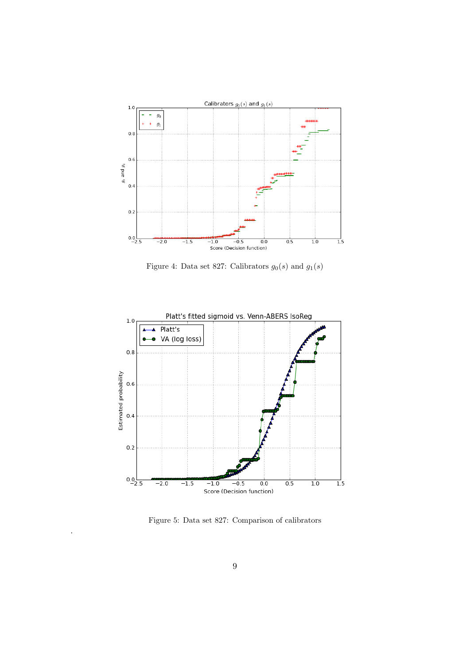

Figure 4: Data set 827: Calibrators  $g_0(s)$  and  $g_1(s)$ 



Figure 5: Data set 827: Comparison of calibrators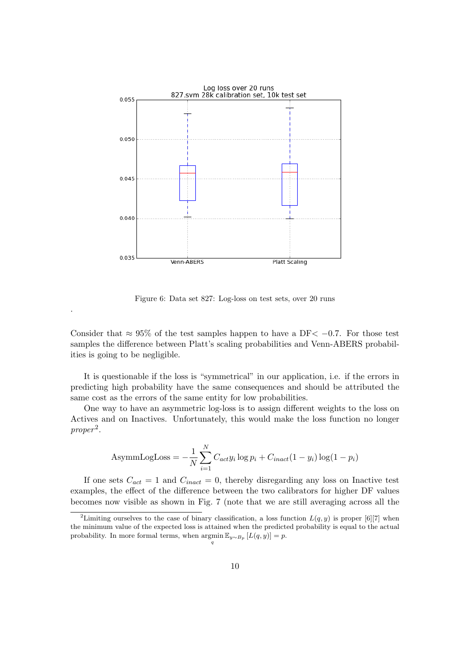

Figure 6: Data set 827: Log-loss on test sets, over 20 runs

Consider that  $\approx 95\%$  of the test samples happen to have a DF $\lt$  -0.7. For those test samples the difference between Platt's scaling probabilities and Venn-ABERS probabilities is going to be negligible.

It is questionable if the loss is "symmetrical" in our application, i.e. if the errors in predicting high probability have the same consequences and should be attributed the same cost as the errors of the same entity for low probabilities.

One way to have an asymmetric log-loss is to assign different weights to the loss on Actives and on Inactives. Unfortunately, this would make the loss function no longer  $proper<sup>2</sup>$ .

AsymmLogLoss = 
$$
-\frac{1}{N} \sum_{i=1}^{N} C_{act} y_i \log p_i + C_{inact} (1 - y_i) \log (1 - p_i)
$$

If one sets  $C_{act} = 1$  and  $C_{inact} = 0$ , thereby disregarding any loss on Inactive test examples, the effect of the difference between the two calibrators for higher DF values becomes now visible as shown in Fig. 7 (note that we are still averaging across all the

<sup>&</sup>lt;sup>2</sup>Limiting ourselves to the case of binary classification, a loss function  $L(q, y)$  is proper [6][7] when the minimum value of the expected loss is attained when the predicted probability is equal to the actual probability. In more formal terms, when  $\operatorname{argmin} \mathbb{E}_{y \sim B_p} [L(q, y)] = p$ . q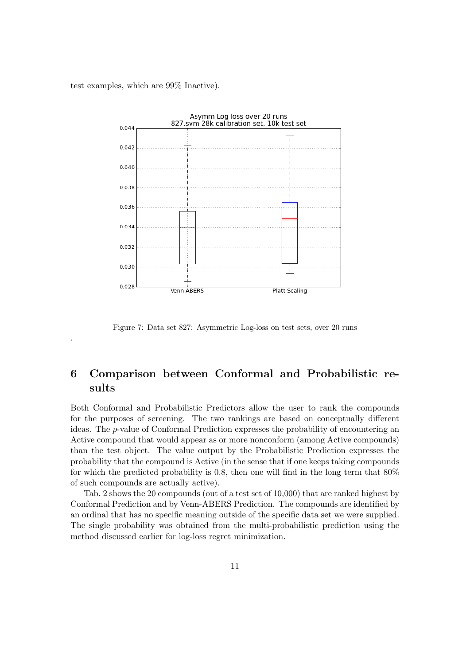test examples, which are 99% Inactive).

.



Figure 7: Data set 827: Asymmetric Log-loss on test sets, over 20 runs

# 6 Comparison between Conformal and Probabilistic results

Both Conformal and Probabilistic Predictors allow the user to rank the compounds for the purposes of screening. The two rankings are based on conceptually different ideas. The p-value of Conformal Prediction expresses the probability of encountering an Active compound that would appear as or more nonconform (among Active compounds) than the test object. The value output by the Probabilistic Prediction expresses the probability that the compound is Active (in the sense that if one keeps taking compounds for which the predicted probability is 0.8, then one will find in the long term that  $80\%$ of such compounds are actually active).

Tab. 2 shows the 20 compounds (out of a test set of 10,000) that are ranked highest by Conformal Prediction and by Venn-ABERS Prediction. The compounds are identified by an ordinal that has no specific meaning outside of the specific data set we were supplied. The single probability was obtained from the multi-probabilistic prediction using the method discussed earlier for log-loss regret minimization.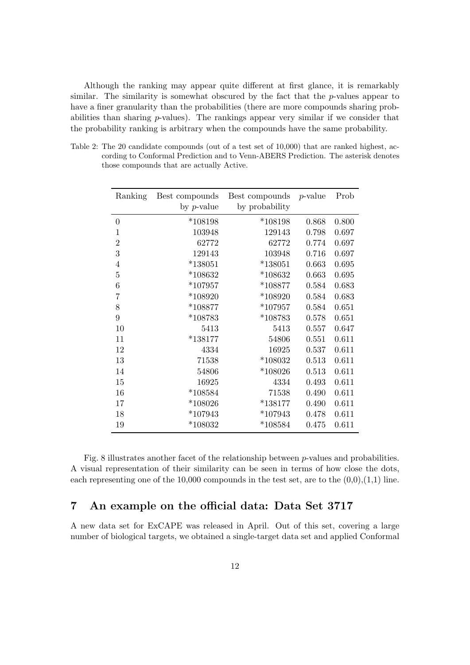Although the ranking may appear quite different at first glance, it is remarkably similar. The similarity is somewhat obscured by the fact that the  $p$ -values appear to have a finer granularity than the probabilities (there are more compounds sharing probabilities than sharing  $p$ -values). The rankings appear very similar if we consider that the probability ranking is arbitrary when the compounds have the same probability.

Table 2: The 20 candidate compounds (out of a test set of 10,000) that are ranked highest, according to Conformal Prediction and to Venn-ABERS Prediction. The asterisk denotes those compounds that are actually Active.

| Ranking          | Best compounds | Best compounds | $p$ -value | Prob  |
|------------------|----------------|----------------|------------|-------|
|                  | by $p$ -value  | by probability |            |       |
| $\boldsymbol{0}$ | $*108198$      | $*108198$      | 0.868      | 0.800 |
| 1                | 103948         | 129143         | 0.798      | 0.697 |
| $\overline{2}$   | 62772          | 62772          | 0.774      | 0.697 |
| 3                | 129143         | 103948         | 0.716      | 0.697 |
| $\overline{4}$   | $*138051$      | $*138051$      | 0.663      | 0.695 |
| 5                | $*108632$      | $*108632$      | 0.663      | 0.695 |
| 6                | $*107957$      | $*108877$      | 0.584      | 0.683 |
| $\overline{7}$   | $*108920$      | $*108920$      | 0.584      | 0.683 |
| 8                | $*108877$      | $*107957$      | 0.584      | 0.651 |
| 9                | $*108783$      | $*108783$      | 0.578      | 0.651 |
| 10               | 5413           | 5413           | 0.557      | 0.647 |
| 11               | $*138177$      | 54806          | 0.551      | 0.611 |
| 12               | 4334           | 16925          | 0.537      | 0.611 |
| 13               | 71538          | $*108032$      | 0.513      | 0.611 |
| 14               | 54806          | $*108026$      | 0.513      | 0.611 |
| 15               | 16925          | 4334           | 0.493      | 0.611 |
| 16               | $*108584$      | 71538          | 0.490      | 0.611 |
| 17               | *108026        | $*138177$      | 0.490      | 0.611 |
| 18               | $*107943$      | $*107943$      | 0.478      | 0.611 |
| 19               | $*108032$      | $*108584$      | 0.475      | 0.611 |

Fig. 8 illustrates another facet of the relationship between p-values and probabilities. A visual representation of their similarity can be seen in terms of how close the dots, each representing one of the 10,000 compounds in the test set, are to the  $(0,0),(1,1)$  line.

# 7 An example on the official data: Data Set 3717

A new data set for ExCAPE was released in April. Out of this set, covering a large number of biological targets, we obtained a single-target data set and applied Conformal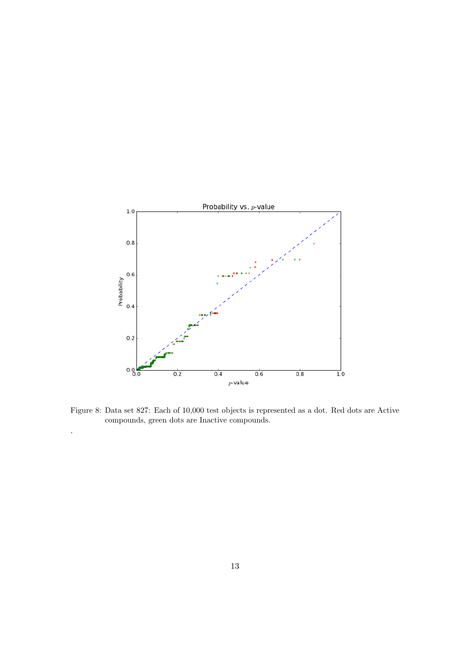

Figure 8: Data set 827: Each of 10,000 test objects is represented as a dot. Red dots are Active compounds, green dots are Inactive compounds.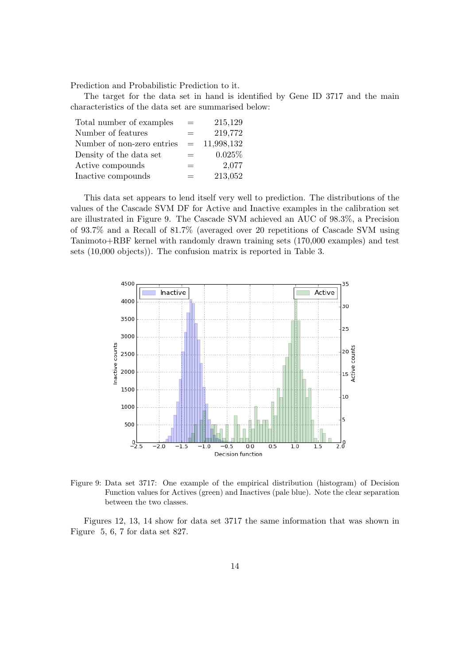Prediction and Probabilistic Prediction to it.

The target for the data set in hand is identified by Gene ID 3717 and the main characteristics of the data set are summarised below:

| Total number of examples   |     | 215,129    |
|----------------------------|-----|------------|
| Number of features         | $=$ | 219,772    |
| Number of non-zero entries | $=$ | 11,998,132 |
| Density of the data set    | $=$ | 0.025%     |
| Active compounds           | $=$ | 2,077      |
| Inactive compounds         | $=$ | 213,052    |

This data set appears to lend itself very well to prediction. The distributions of the values of the Cascade SVM DF for Active and Inactive examples in the calibration set are illustrated in Figure 9. The Cascade SVM achieved an AUC of 98.3%, a Precision of 93.7% and a Recall of 81.7% (averaged over 20 repetitions of Cascade SVM using Tanimoto+RBF kernel with randomly drawn training sets (170,000 examples) and test sets (10,000 objects)). The confusion matrix is reported in Table 3.



Figure 9: Data set 3717: One example of the empirical distribution (histogram) of Decision Function values for Actives (green) and Inactives (pale blue). Note the clear separation between the two classes.

Figures 12, 13, 14 show for data set 3717 the same information that was shown in Figure 5, 6, 7 for data set 827.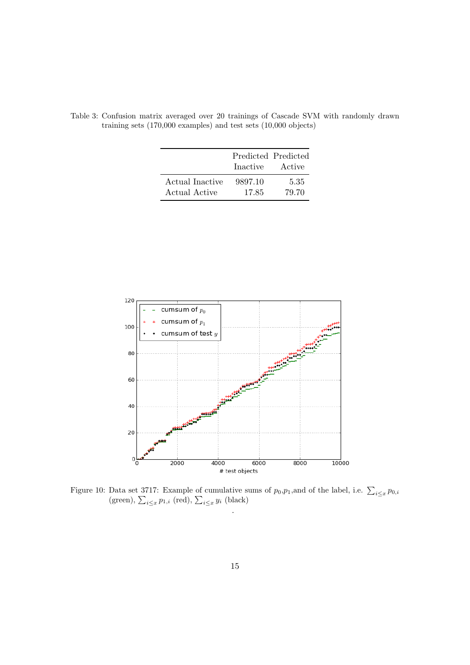|                                  | Inactive         | Predicted Predicted<br>Active |
|----------------------------------|------------------|-------------------------------|
| Actual Inactive<br>Actual Active | 9897.10<br>17.85 | 5.35<br>79.70                 |

Table 3: Confusion matrix averaged over 20 trainings of Cascade SVM with randomly drawn training sets (170,000 examples) and test sets (10,000 objects)



Figure 10: Data set 3717: Example of cumulative sums of  $p_0, p_1$ , and of the label, i.e.  $\sum_{i \leq x} p_{0,i}$ (green),  $\sum_{i \leq x} p_{1,i}$  (red),  $\sum_{i \leq x} y_i$  (black) .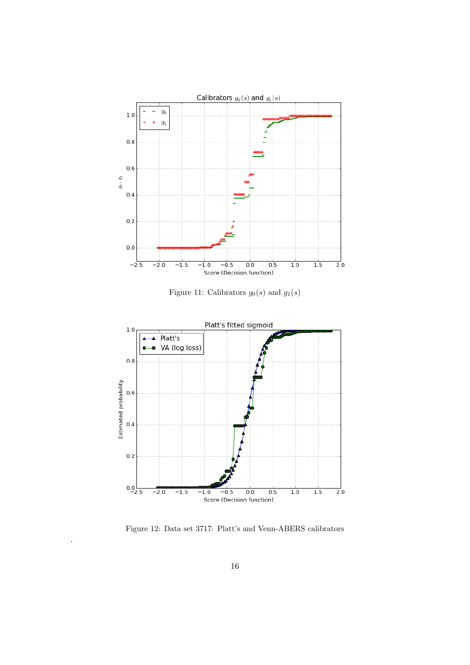

Figure 11: Calibrators  $g_0(s)$  and  $g_1(s)$ 



Figure 12: Data set 3717: Platt's and Venn-ABERS calibrators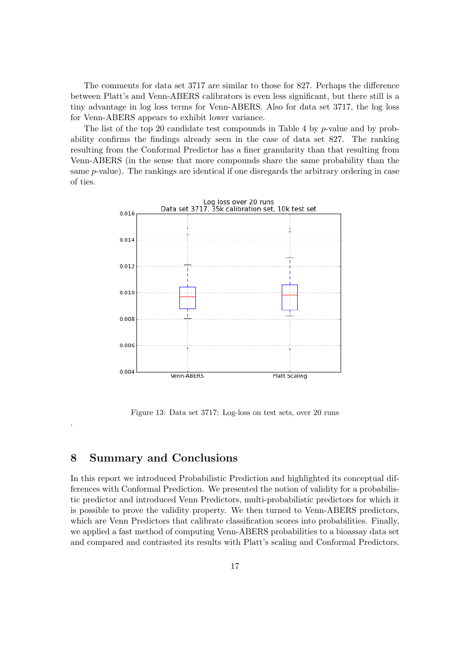The comments for data set 3717 are similar to those for 827. Perhaps the difference between Platt's and Venn-ABERS calibrators is even less significant, but there still is a tiny advantage in log loss terms for Venn-ABERS. Also for data set 3717, the log loss for Venn-ABERS appears to exhibit lower variance.

The list of the top 20 candidate test compounds in Table 4 by p-value and by probability confirms the findings already seen in the case of data set 827. The ranking resulting from the Conformal Predictor has a finer granularity than that resulting from Venn-ABERS (in the sense that more compounds share the same probability than the same p-value). The rankings are identical if one disregards the arbitrary ordering in case of ties.



Figure 13: Data set 3717: Log-loss on test sets, over 20 runs

## 8 Summary and Conclusions

.

In this report we introduced Probabilistic Prediction and highlighted its conceptual differences with Conformal Prediction. We presented the notion of validity for a probabilistic predictor and introduced Venn Predictors, multi-probabilistic predictors for which it is possible to prove the validity property. We then turned to Venn-ABERS predictors, which are Venn Predictors that calibrate classification scores into probabilities. Finally, we applied a fast method of computing Venn-ABERS probabilities to a bioassay data set and compared and contrasted its results with Platt's scaling and Conformal Predictors.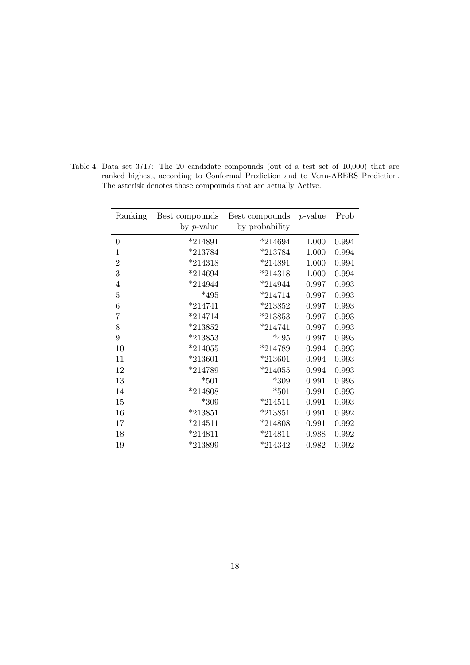| Ranking        | Best compounds | Best compounds | <i>p</i> -value | Prob  |
|----------------|----------------|----------------|-----------------|-------|
|                | by $p$ -value  | by probability |                 |       |
| $\overline{0}$ | $*214891$      | $*214694$      | 1.000           | 0.994 |
| 1              | $*213784$      | $*213784$      | 1.000           | 0.994 |
| $\overline{2}$ | $*214318$      | $*214891$      | 1.000           | 0.994 |
| 3              | $*214694$      | $*214318$      | 1.000           | 0.994 |
| 4              | $*214944$      | $*214944$      | 0.997           | 0.993 |
| 5              | $*495$         | $*214714$      | 0.997           | 0.993 |
| 6              | $*214741$      | $*213852$      | 0.997           | 0.993 |
| 7              | $*214714$      | $*213853$      | 0.997           | 0.993 |
| 8              | $*213852$      | $*214741$      | 0.997           | 0.993 |
| 9              | $*213853$      | $*495$         | 0.997           | 0.993 |
| 10             | $*214055$      | $*214789$      | 0.994           | 0.993 |
| 11             | $*213601$      | $*213601$      | 0.994           | 0.993 |
| 12             | $*214789$      | $*214055$      | 0.994           | 0.993 |
| 13             | $*501$         | $*309$         | 0.991           | 0.993 |
| 14             | $*214808$      | $*501$         | 0.991           | 0.993 |
| 15             | $*309$         | $*214511$      | 0.991           | 0.993 |
| 16             | $*213851$      | $*213851$      | 0.991           | 0.992 |
| 17             | $*214511$      | $*214808$      | 0.991           | 0.992 |
| 18             | $*214811$      | $*214811$      | 0.988           | 0.992 |
| 19             | $*213899$      | $*214342$      | 0.982           | 0.992 |

Table 4: Data set 3717: The 20 candidate compounds (out of a test set of 10,000) that are ranked highest, according to Conformal Prediction and to Venn-ABERS Prediction. The asterisk denotes those compounds that are actually Active.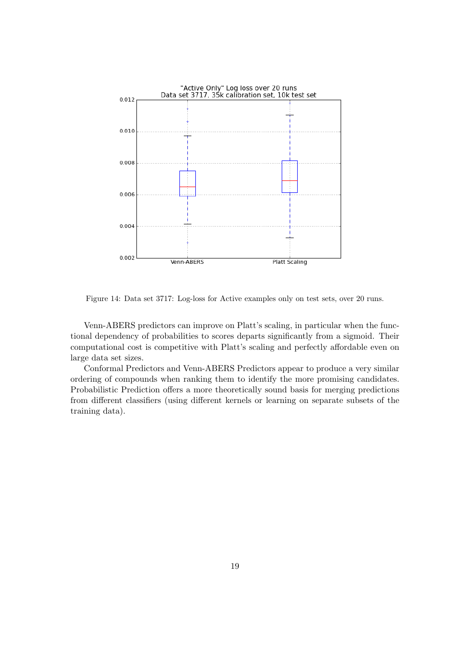

Figure 14: Data set 3717: Log-loss for Active examples only on test sets, over 20 runs.

Venn-ABERS predictors can improve on Platt's scaling, in particular when the functional dependency of probabilities to scores departs significantly from a sigmoid. Their computational cost is competitive with Platt's scaling and perfectly affordable even on large data set sizes.

Conformal Predictors and Venn-ABERS Predictors appear to produce a very similar ordering of compounds when ranking them to identify the more promising candidates. Probabilistic Prediction offers a more theoretically sound basis for merging predictions from different classifiers (using different kernels or learning on separate subsets of the training data).